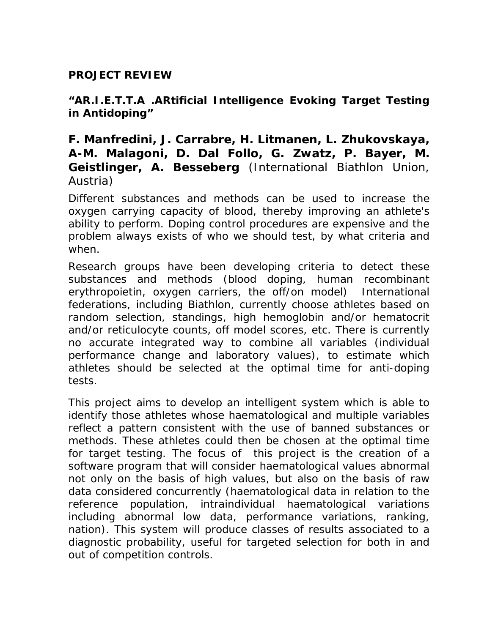## **PROJECT REVIEW**

**"AR.I.E.T.T.A .ARtificial Intelligence Evoking Target Testing in Antidoping"**

**F. Manfredini, J. Carrabre, H. Litmanen, L. Zhukovskaya, A-M. Malagoni, D. Dal Follo, G. Zwatz, P. Bayer, M. Geistlinger, A. Besseberg** (International Biathlon Union, Austria)

Different substances and methods can be used to increase the oxygen carrying capacity of blood, thereby improving an athlete's ability to perform. Doping control procedures are expensive and the problem always exists of who we should test, by what criteria and when.

Research groups have been developing criteria to detect these substances and methods (blood doping, human recombinant erythropoietin, oxygen carriers, the off/on model) International federations, including Biathlon, currently choose athletes based on random selection, standings, high hemoglobin and/or hematocrit and/or reticulocyte counts, off model scores, etc. There is currently no accurate integrated way to combine all variables (individual performance change and laboratory values), to estimate which athletes should be selected at the optimal time for anti-doping tests.

This project aims to develop an intelligent system which is able to identify those athletes whose haematological and multiple variables reflect a pattern consistent with the use of banned substances or methods. These athletes could then be chosen at the optimal time for target testing. The focus of this project is the creation of a software program that will consider haematological values abnormal not only on the basis of high values, but also on the basis of raw data considered concurrently (haematological data in relation to the reference population, intraindividual haematological variations including abnormal low data, performance variations, ranking, nation). This system will produce classes of results associated to a diagnostic probability, useful for targeted selection for both in and out of competition controls.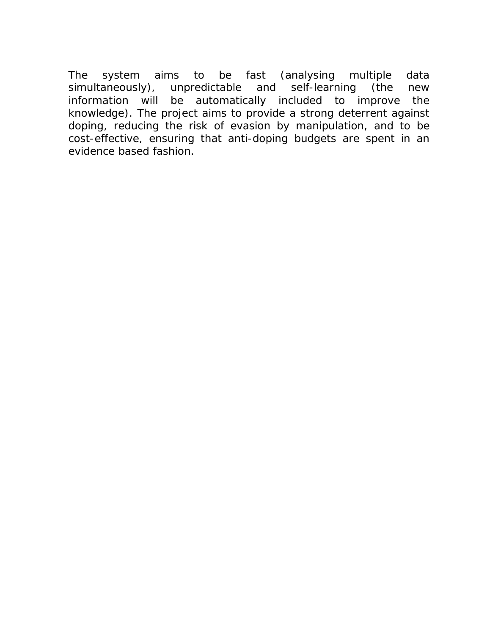The system aims to be fast (analysing multiple data simultaneously), unpredictable and self-learning (the new information will be automatically included to improve the knowledge). The project aims to provide a strong deterrent against doping, reducing the risk of evasion by manipulation, and to be cost-effective, ensuring that anti-doping budgets are spent in an evidence based fashion.